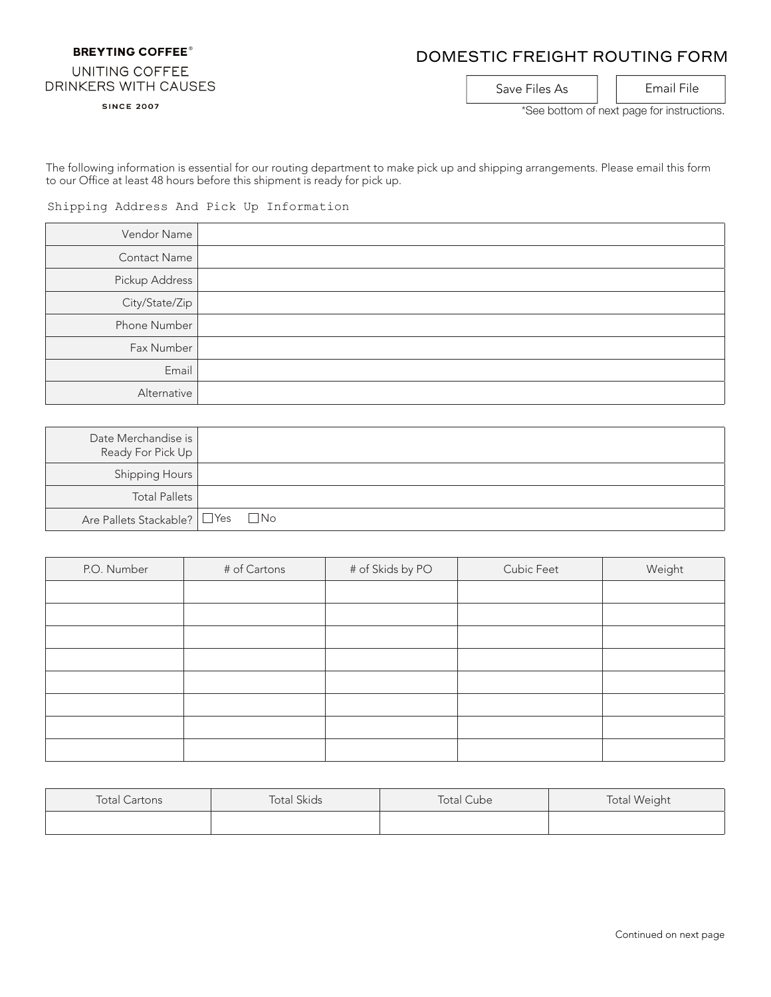## **BREYTING COFFEE®**

## DOMESTIC FREIGHT ROUTING FORM

## UNITING COFFEE DRINKERS WITH CAUSES

**SINCE 2007** 

Save Files As | | Email File

\*See bottom of next page for instructions.

The following information is essential for our routing department to make pick up and shipping arrangements. Please email this form to our Office at least 48 hours before this shipment is ready for pick up.

Shipping Address And Pick Up Information

| Vendor Name         |  |
|---------------------|--|
| <b>Contact Name</b> |  |
| Pickup Address      |  |
| City/State/Zip      |  |
| Phone Number        |  |
| Fax Number          |  |
| Email               |  |
| Alternative         |  |

| Date Merchandise is I<br>Ready For Pick Up |           |
|--------------------------------------------|-----------|
| Shipping Hours                             |           |
| <b>Total Pallets</b>                       |           |
| Are Pallets Stackable? $\Box$ Yes          | $\Box$ No |

| P.O. Number | # of Cartons | # of Skids by PO | Cubic Feet | Weight |
|-------------|--------------|------------------|------------|--------|
|             |              |                  |            |        |
|             |              |                  |            |        |
|             |              |                  |            |        |
|             |              |                  |            |        |
|             |              |                  |            |        |
|             |              |                  |            |        |
|             |              |                  |            |        |
|             |              |                  |            |        |

| <b>Total Cartons</b> | <b>Total Skids</b> | <b>Total Cube</b> | <b>Total Weight</b> |
|----------------------|--------------------|-------------------|---------------------|
|                      |                    |                   |                     |